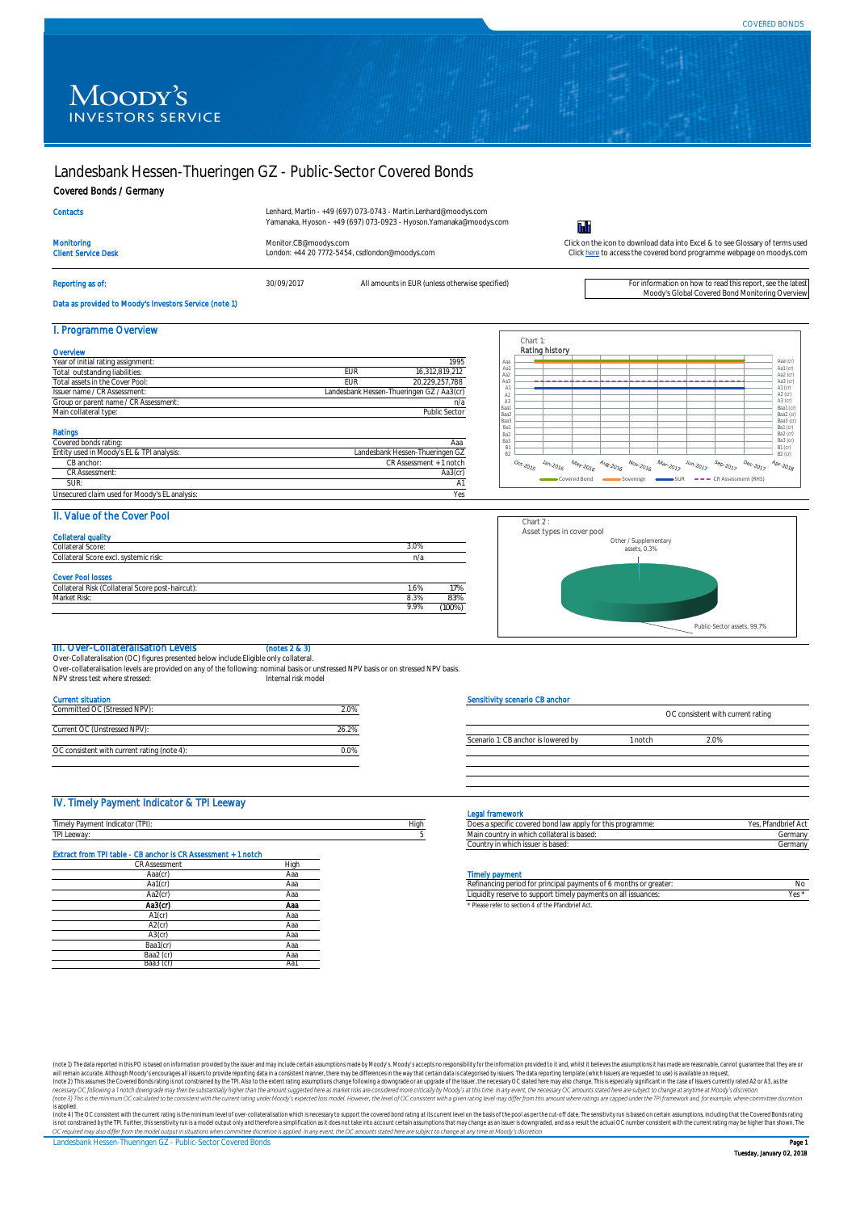Prog



# Landesbank Hessen-Thueringen GZ - Public-Sector Covered Bonds

Covered Bonds / Germany

Moody's Global Covered Bond Monitoring Overview

Data as provided to Moody's Investors Service (note 1)

## I. Programme Overview

Over-Collateralisation (OC) figures presented below include Eligible only collateral. Over-collateralisation levels are provided on any of the following: nominal basis or unstressed NPV basis or on stressed NPV basis. NPV stress test where stressed: Internal risk model

## II. Value of the Cover Pool

| . (Collateral Score post-haircut):<br><b>Risk</b><br>Collateral | .6%  | 17%  |
|-----------------------------------------------------------------|------|------|
| Risk.<br>Market <sup>r</sup>                                    | 8.3% | 83%  |
|                                                                 | 9.9% | 100% |

#### III. Over-Collateralisation Levels (notes 2 & 3)

| Contacts                                 |                                                                         | Lenhard, Martin - +49 (697) 073-0743 - Martin.Lenhard@moodys.com<br>Yamanaka, Hyoson - +49 (697) 073-0923 - Hyoson. Yamanaka@moodys.com |                                                                                                                                                        |  |
|------------------------------------------|-------------------------------------------------------------------------|-----------------------------------------------------------------------------------------------------------------------------------------|--------------------------------------------------------------------------------------------------------------------------------------------------------|--|
| Monitoring<br><b>Client Service Desk</b> | Monitor.CB@moodys.com<br>London: +44 20 7772-5454, csdlondon@moodys.com |                                                                                                                                         | Click on the icon to download data into Excel & to see Glossary of terms used<br>Click here to access the covered bond programme webpage on moodys.com |  |
| Reporting as of:                         | 30/09/2017                                                              | All amounts in EUR (unless otherwise specified)                                                                                         | For information on how to read this report, see the latest                                                                                             |  |

#### Current situation

| Committed OC (Stressed NPV):                |       |
|---------------------------------------------|-------|
|                                             |       |
| Current OC (Unstressed NPV):                | 26.2% |
|                                             |       |
| OC consistent with current rating (note 4): |       |
|                                             |       |

| Overview                              |     |                                           |
|---------------------------------------|-----|-------------------------------------------|
| Year of initial rating assignment:    |     | 1995                                      |
| Total outstanding liabilities:        | EUR | 16,312,819,212                            |
| Total assets in the Cover Pool:       | EUR | 20,229,257,788                            |
| Issuer name / CR Assessment:          |     | Landesbank Hessen-Thueringen GZ / Aa3(cr) |
| Group or parent name / CR Assessment: |     | n/a                                       |
| Main collateral type:                 |     | <b>Public Sector</b>                      |

## IV. Timely Payment Indicator & TPI Leeway

#### Legal framework

| <b>Collateral quality</b>             |      |
|---------------------------------------|------|
| Collateral Score:                     | 3.0% |
| Collateral Score excl. systemic risk: | n/a  |

| Ratings                                       |                                 |
|-----------------------------------------------|---------------------------------|
| Covered bonds rating:                         | Aaa                             |
| Entity used in Moody's EL & TPI analysis:     | Landesbank Hessen-Thueringen GZ |
| CB anchor:                                    | CR Assessment + 1 notch         |
| <b>CR Assessment:</b>                         | Aa3(cr)                         |
| SUR:                                          | Α1                              |
| Unsecured claim used for Moody's EL analysis: | Yes                             |

| $\rightarrow$<br>Timel<br>nuicato | High | $n \sim n$<br><u>UUI ALLILLIT</u> .           |                  |
|-----------------------------------|------|-----------------------------------------------|------------------|
| TPI Leeway.                       |      | .<br>'idii i Cuuriti<br>IS NASEU.<br>. UUTO ' | orms.<br>JUITIU' |
|                                   |      | .                                             |                  |

| Does a specific covered bond law apply for this programme: | Yes, Pfandbrief Act |
|------------------------------------------------------------|---------------------|
| Main country in which collateral is based:                 | Germany             |
| Country in which issuer is based:                          | Germany             |

#### **Timely payment**

(note 1) The data reported in this PO is based on information provided by the issuer and may include certain assumptions made by Moody's. Moody's accepts no responsibility for the information provided to it and, whilst it will remain accurate. Although Moody's encourages all issuers to provide reporting data in a consistent manner, there may be differences in the way that certain data is categorised by issuers. The data reporting template ( (note 2) This assumes the Covered Bonds rating is not constrained by the TPI. Also to the extent rating assumptions change following a downgrade or an upgrade of the Issuer, the necessary OC stated here may also change. Th necessary OC following a 1 notch downgrade may then be substantially higher than the amount suggested here as market risks are considered more critically by Moody's at this time. In any event, the necessary OC amounts stat (note 3) This is the minimum OC calculated to be consistent with the current rating under Moody's expected loss model. However, the level of OC consistent with a given rating level may differ from this amount where ratings *is applied.*

(note 4) The OC consistent with the current rating is the minimum level of over-collateralisation which is necessary to support the covered bond rating at its current level on the basis of the pool as per the cut-off date. is not constrained by the TPI. Further, this sensitivity run is a model output only and therefore a simplification as it does not take into account certain assumptions that may change as an issuer is downgraded, and as a r OC required may also differ from the model output in situations when committee discretion is applied. In any event, the OC amounts stated here are subject to change at any time at Moody's discretion.

| Aa1(cr               | 70 I G | m <sub>l</sub><br>r areate.<br>ients of<br>正旧户<br>unai navi<br>U THUL<br>,,,,    |  |
|----------------------|--------|----------------------------------------------------------------------------------|--|
| Aa $2($              | ACIC.  | m on all issuances.<br>t timelv<br>' navment<br>) suppor<br>iqita i<br>rasarya 1 |  |
| $\sim$ $\sim$ $\sim$ |        |                                                                                  |  |

\* Please refer to section 4 of the Pfandbrief Act.

| <b>CR Assessment</b> | High |
|----------------------|------|
| Aaa(cr)              | Aaa  |
| Aa $1$ ( $cr$ )      | Aaa  |
| Aa2(cr)              | Aaa  |
| Aa $3$ ( $cr$ )      | Aaa  |
| $A1$ (cr)            | Aaa  |
| $A2$ (cr)            | Aaa  |
| $A3$ (cr)            | Aaa  |
| Baa1(cr)             | Aaa  |
| Baa2 (cr)            | Aaa  |
| Baa3 (cr             | Aa   |
|                      |      |

#### Cover Pool losses

#### Sensitivity scenario CB anchor



Scenario 1: CB anchor is lowered by 1 notch 2.0%

### Extract from TPI table - CB anchor is CR Assessment + 1 notch





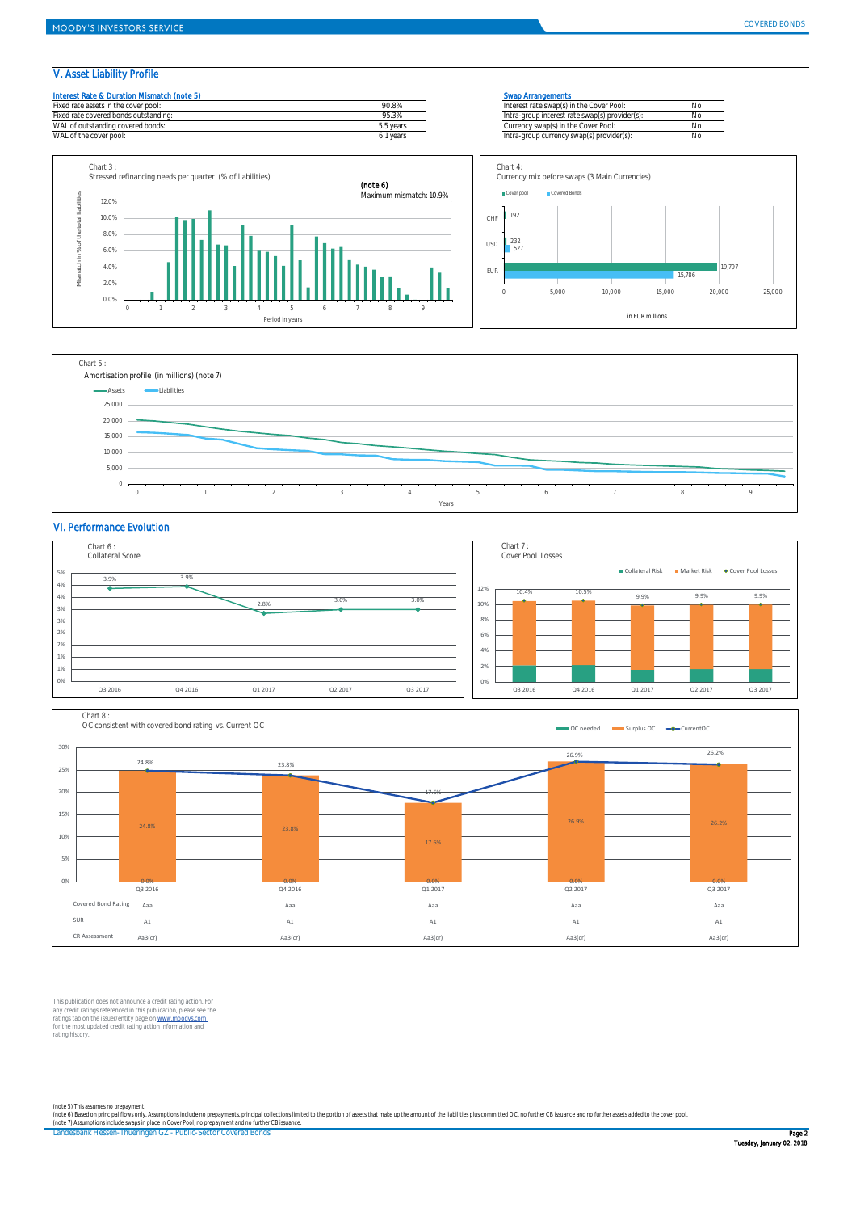## V. Asset Liability Profile

|  | Interest Rate & Duration Mismatch (note 5) |  |
|--|--------------------------------------------|--|
|  |                                            |  |

| d rate assets in the cover pool:         | חכ<br>IU.8%       | Interest rate swap(s) in the Cover Pool:              |  |
|------------------------------------------|-------------------|-------------------------------------------------------|--|
| rate covered bonds outstanding:<br>-ixec | $\sim$<br>7J.J /0 | ra-group interest rate swap(s) provider(s)<br>Intri   |  |
| <b>WAL</b><br>outstanding covered bonds: | b.b years         | In the Cover \<br>Cover Pool:<br>' swap(s<br>Currency |  |
| <b>WAL</b><br>the cover pool:            | years             | currency swap(s) provider(<br>lntra-group             |  |

#### **Swap Arrangements**

| Interest rate swap(s) in the Cover Pool:       | No. |
|------------------------------------------------|-----|
| Intra-group interest rate swap(s) provider(s): | No. |
| Currency swap(s) in the Cover Pool:            | No. |
| Intra-group currency swap(s) provider(s):      | No. |

## VI. Performance Evolution

This publication does not announce a credit rating action. For any credit ratings referenced in this publication, please see the ratings tab on the issuer/entity page on www.moodys.com for the most updated credit rating action information and rating history.

Landesbank Hessen-Thueringen GZ - Public-Sector Covered Bonds Page 2



*(note 5) This assumes no prepayment.* (note 6) Based on principal flows only. Assumptions include no prepayments, principal collections limited to the portion of assets that make up the amount of the liabilities plus committed OC, no further CB issuance and no *(note 7) Assumptions include swaps in place in Cover Pool, no prepayment and no further CB issuance.*





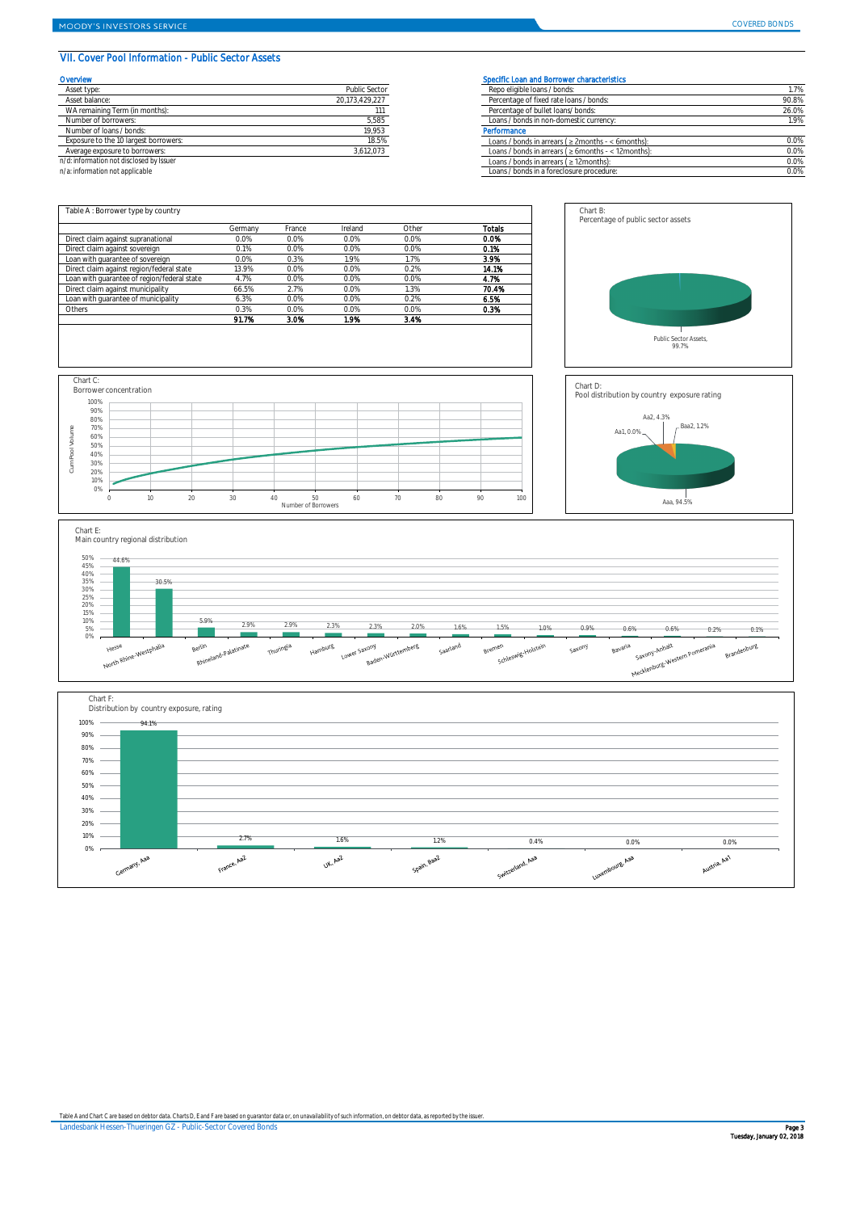## VII. Cover Pool Information - Public Sector Assets

| Overview | Specific Loan and Borrower characteristics |
|----------|--------------------------------------------|
|----------|--------------------------------------------|

| Asset type:                             | <b>Public Sector</b> | Repo eligible loans / bonds:                               | 1.7%  |
|-----------------------------------------|----------------------|------------------------------------------------------------|-------|
| Asset balance:                          | 20,173,429,227       | Percentage of fixed rate loans / bonds:                    | 90.8% |
| WA remaining Term (in months):          |                      | Percentage of bullet loans/bonds:                          | 26.0% |
| Number of borrowers:                    | 5,585                | Loans / bonds in non-domestic currency:                    | 1.9%  |
| Number of loans / bonds:                | 19,953               | Performance                                                |       |
| Exposure to the 10 largest borrowers:   | 18.5%                | Loans / bonds in arrears ( $\geq$ 2months - < 6 months):   | 0.0%  |
| Average exposure to borrowers:          | 3,612,073            | Loans / bonds in arrears ( $\geq 6$ months - < 12 months): | 0.0%  |
| 'd: information not disclosed by Issuer |                      | Loans / bonds in arrears ( $\geq$ 12 months):              | 0.0%  |
| a: information not applicable           |                      | Loans / bonds in a foreclosure procedure:                  | 0.0%  |
|                                         |                      |                                                            |       |

| Asset type:                              | <b>Public Sector</b> | Repo eligibl |
|------------------------------------------|----------------------|--------------|
| Asset balance:                           | 20,173,429,227       | Percentage   |
| WA remaining Term (in months):           |                      | Percentage   |
| Number of borrowers:                     | 5,585                | Loans / bon  |
| Number of loans / bonds:                 | 19,953               | Performance  |
| Exposure to the 10 largest borrowers:    | 18.5%                | Loans / bon  |
| Average exposure to borrowers:           | 3,612,073            | Loans / bon  |
| n/d: information not disclosed by Issuer |                      | Loans / bon  |

*n/a: information not applicable* 

|                                             | Germany | France  | Ireland | Other   | <b>Totals</b> |
|---------------------------------------------|---------|---------|---------|---------|---------------|
| Direct claim against supranational          | $0.0\%$ | 0.0%    | 0.0%    | $0.0\%$ | 0.0%          |
| Direct claim against sovereign              | 0.1%    | $0.0\%$ | 0.0%    | $0.0\%$ | 0.1%          |
| Loan with guarantee of sovereign            | $0.0\%$ | 0.3%    | 1.9%    | 1.7%    | 3.9%          |
| Direct claim against region/federal state   | 13.9%   | $0.0\%$ | $0.0\%$ | 0.2%    | 14.1%         |
| Loan with guarantee of region/federal state | 4.7%    | $0.0\%$ | $0.0\%$ | $0.0\%$ | 4.7%          |
| Direct claim against municipality           | 66.5%   | 2.7%    | $0.0\%$ | 1.3%    | 70.4%         |
| Loan with guarantee of municipality         | 6.3%    | $0.0\%$ | $0.0\%$ | 0.2%    | 6.5%          |
| Others                                      | 0.3%    | 0.0%    | $0.0\%$ | $0.0\%$ | 0.3%          |
|                                             | 91.7%   | 3.0%    | 1.9%    | 3.4%    |               |

*Table A and Chart C are based on debtor data. Charts D, E and F are based on guarantor data or, on unavailability of such information, on debtor data, as reported by the issuer.*

Landesbank Hessen-Thueringen GZ - Public-Sector Covered Bonds Page 3







## Chart E:



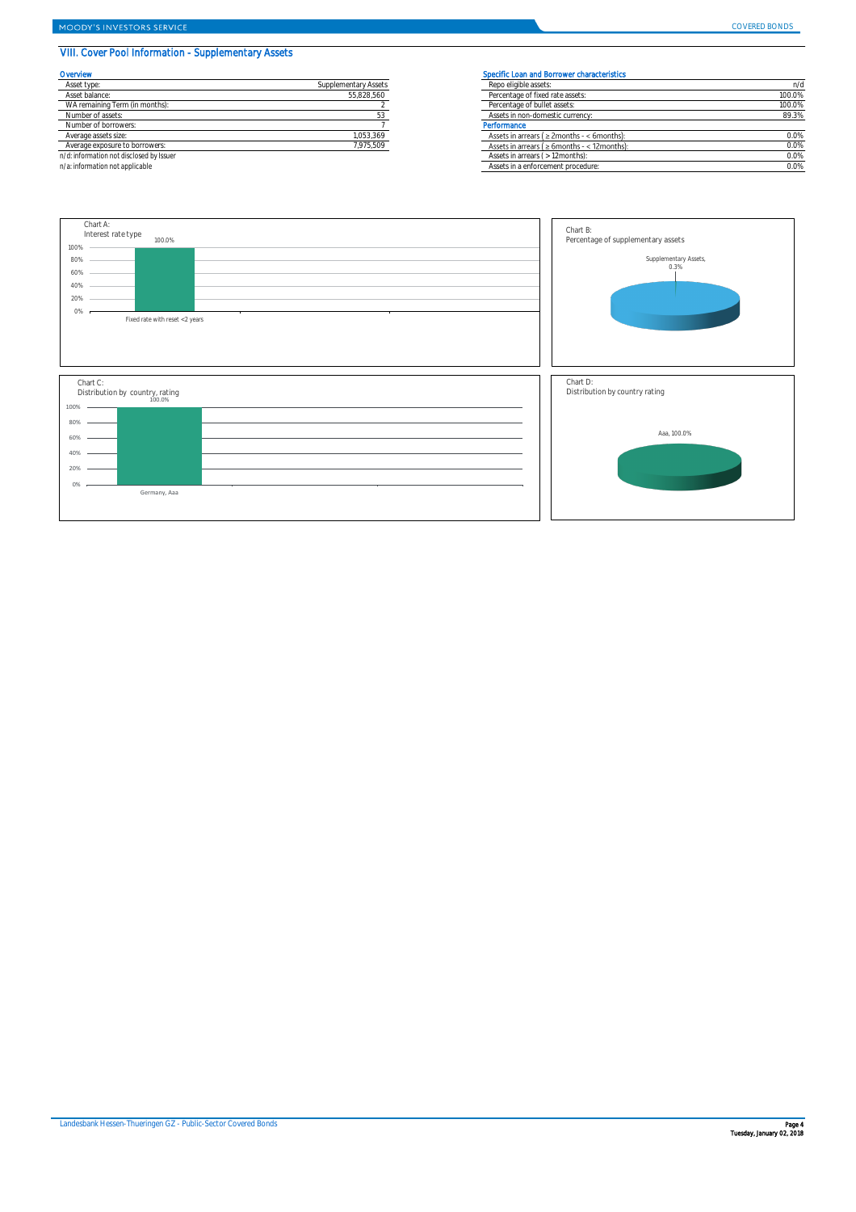## VIII. Cover Pool Information - Supplementary Assets

| Asset type:                             | <b>Supplementary Assets</b> | Repo eligible assets:                               | n/d     |  |
|-----------------------------------------|-----------------------------|-----------------------------------------------------|---------|--|
| Asset balance:                          | 55,828,560                  | Percentage of fixed rate assets:                    | 100.0%  |  |
| WA remaining Term (in months):          |                             | Percentage of bullet assets:                        | 100.0%  |  |
| Number of assets:                       |                             | Assets in non-domestic currency:                    | 89.3%   |  |
| Number of borrowers:                    |                             | Performance                                         |         |  |
| Average assets size:                    | 1,053,369                   | Assets in arrears ( $\geq$ 2months - < 6months):    | $0.0\%$ |  |
| Average exposure to borrowers:          | 7,975,509                   | Assets in arrears ( $\geq 6$ months - < 12 months): | 0.0%    |  |
| 'd: information not disclosed by Issuer |                             | Assets in arrears ( $>12$ months):                  | $0.0\%$ |  |
| a: information not applicable           |                             | Assets in a enforcement procedure:                  | $0.0\%$ |  |
|                                         |                             |                                                     |         |  |

| Asset type:                              | <b>Supplementary Assets</b> | Repo eligibl  |
|------------------------------------------|-----------------------------|---------------|
| Asset balance:                           | 55,828,560                  | Percentage    |
| WA remaining Term (in months):           |                             | Percentage    |
| Number of assets:                        |                             | Assets in nc  |
| Number of borrowers:                     |                             | Performance   |
| Average assets size:                     | 1,053,369                   | Assets in art |
| Average exposure to borrowers:           | 7,975,509                   | Assets in art |
| n/d: information not disclosed by Issuer |                             | Assets in art |

*n/a: information not applicable* 

### Overview Specific Loan and Borrower characteristics

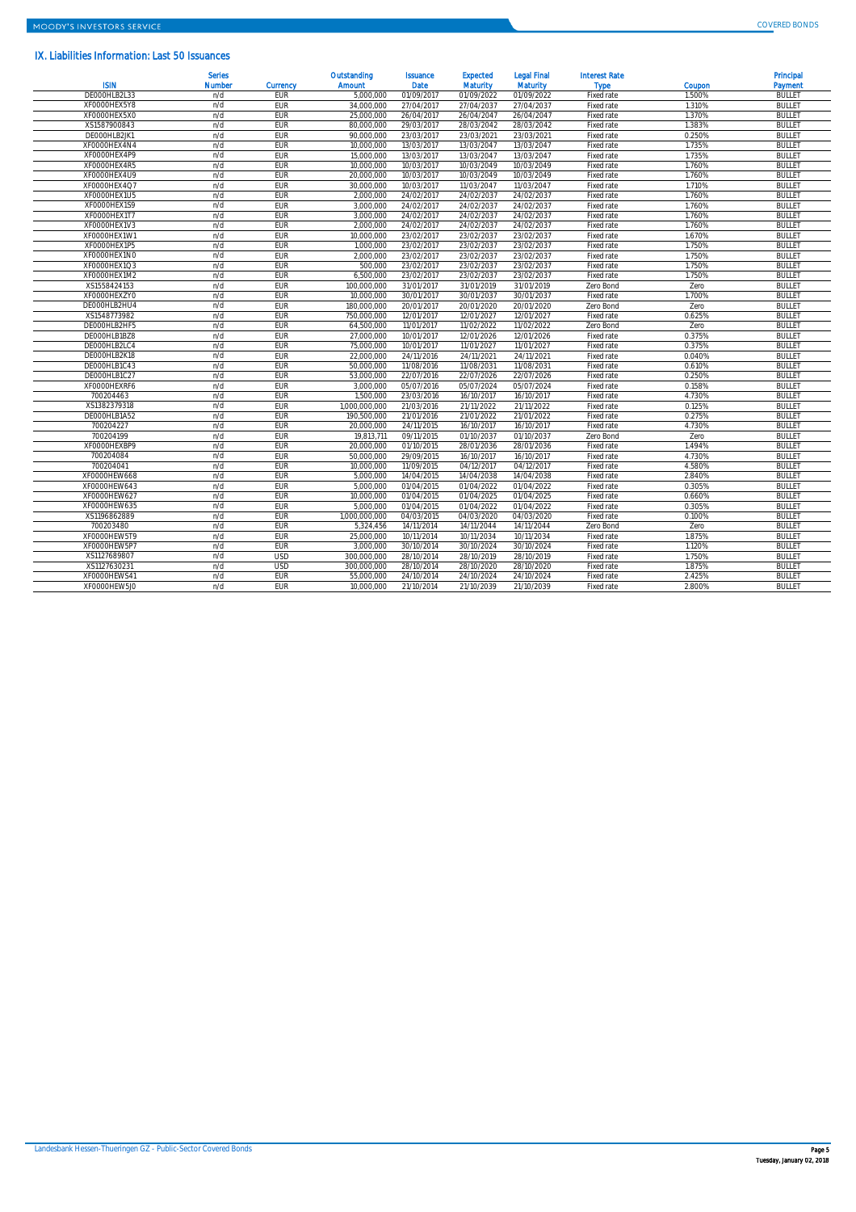## IX. Liabilities Information: Last 50 Issuances

|              | <b>Series</b> |            | Outstanding   | <b>Issuance</b> | <b>Expected</b> | <b>Legal Final</b> | <b>Interest Rate</b> |        | Principal     |
|--------------|---------------|------------|---------------|-----------------|-----------------|--------------------|----------------------|--------|---------------|
| <b>ISIN</b>  | Number        | Currency   | Amount        | Date            | Maturity        | Maturity           | Type                 | Coupon | Payment       |
| DE000HLB2L33 | n/d           | <b>EUR</b> | 5,000,000     | 01/09/2017      | 01/09/2022      | 01/09/2022         | Fixed rate           | 1.500% | <b>BULLET</b> |
| XFOOOOHEX5Y8 | n/d           | <b>EUR</b> | 34,000,000    | 27/04/2017      | 27/04/2037      | 27/04/2037         | Fixed rate           | 1.310% | <b>BULLET</b> |
| XF0000HEX5X0 | n/d           | <b>EUR</b> | 25,000,000    | 26/04/2017      | 26/04/2047      | 26/04/2047         | Fixed rate           | 1.370% | <b>BULLET</b> |
| XS1587900843 | n/d           | <b>EUR</b> | 80,000,000    | 29/03/2017      | 28/03/2042      | 28/03/2042         | Fixed rate           | 1.383% | <b>BULLET</b> |
| DE000HLB2JK1 | n/d           | <b>EUR</b> | 90,000,000    | 23/03/2017      | 23/03/2021      | 23/03/2021         | Fixed rate           | 0.250% | <b>BULLET</b> |
| XF0000HEX4N4 | n/d           | <b>EUR</b> | 10,000,000    | 13/03/2017      | 13/03/2047      | 13/03/2047         | Fixed rate           | 1.735% | <b>BULLET</b> |
| XF0000HEX4P9 | n/d           | <b>EUR</b> | 15,000,000    | 13/03/2017      | 13/03/2047      | 13/03/2047         | Fixed rate           | 1.735% | <b>BULLET</b> |
| XF0000HEX4R5 | n/d           | <b>EUR</b> | 10,000,000    | 10/03/2017      | 10/03/2049      | 10/03/2049         | Fixed rate           | 1.760% | <b>BULLET</b> |
| XF0000HEX4U9 | n/d           | <b>EUR</b> | 20,000,000    | 10/03/2017      | 10/03/2049      | 10/03/2049         | Fixed rate           | 1.760% | <b>BULLET</b> |
| XF0000HEX4Q7 | n/d           | <b>EUR</b> | 30,000,000    | 10/03/2017      | 11/03/2047      | 11/03/2047         | Fixed rate           | 1.710% | <b>BULLET</b> |
| XF0000HEX1U5 | n/d           | <b>EUR</b> | 2,000,000     | 24/02/2017      | 24/02/2037      | 24/02/2037         | Fixed rate           | 1.760% | <b>BULLET</b> |
| XF0000HEX1S9 | n/d           | <b>EUR</b> | 3,000,000     | 24/02/2017      | 24/02/2037      | 24/02/2037         | Fixed rate           | 1.760% | <b>BULLET</b> |
| XFOOOOHEX1T7 | n/d           | <b>EUR</b> | 3,000,000     | 24/02/2017      | 24/02/2037      | 24/02/2037         | Fixed rate           | 1.760% | <b>BULLET</b> |
| XFOOOOHEX1V3 | n/d           | <b>EUR</b> | 2,000,000     | 24/02/2017      | 24/02/2037      | 24/02/2037         | Fixed rate           | 1.760% | <b>BULLET</b> |
| XF0000HEX1W1 | n/d           | <b>EUR</b> | 10,000,000    | 23/02/2017      | 23/02/2037      | 23/02/2037         | Fixed rate           | 1.670% | <b>BULLET</b> |
| XF0000HEX1P5 | n/d           | <b>EUR</b> | 1,000,000     | 23/02/2017      | 23/02/2037      | 23/02/2037         | Fixed rate           | 1.750% | <b>BULLET</b> |
| XF0000HEX1N0 | n/d           | <b>EUR</b> | 2,000,000     | 23/02/2017      | 23/02/2037      | 23/02/2037         | Fixed rate           | 1.750% | <b>BULLET</b> |
| XF0000HEX1Q3 | n/d           | <b>EUR</b> | 500,000       | 23/02/2017      | 23/02/2037      | 23/02/2037         | Fixed rate           | 1.750% | <b>BULLET</b> |
| XF0000HEX1M2 | n/d           | <b>EUR</b> | 6,500,000     | 23/02/2017      | 23/02/2037      | 23/02/2037         | Fixed rate           | 1.750% | <b>BULLET</b> |
| XS1558424153 | n/d           | <b>EUR</b> | 100,000,000   | 31/01/2017      | 31/01/2019      | 31/01/2019         | Zero Bond            | Zero   | <b>BULLET</b> |
| XF0000HEXZY0 | n/d           | <b>EUR</b> | 10,000,000    | 30/01/2017      | 30/01/2037      | 30/01/2037         | Fixed rate           | 1.700% | <b>BULLET</b> |
| DE000HLB2HU4 | n/d           | EUR        | 180,000,000   | 20/01/2017      | 20/01/2020      | 20/01/2020         | Zero Bond            | Zero   | <b>BULLET</b> |
| XS1548773982 | n/d           | <b>EUR</b> | 750,000,000   | 12/01/2017      | 12/01/2027      | 12/01/2027         | Fixed rate           | 0.625% | <b>BULLET</b> |
| DE000HLB2HF5 | n/d           | <b>EUR</b> | 64,500,000    | 11/01/2017      | 11/02/2022      | 11/02/2022         | Zero Bond            | Zero   | <b>BULLET</b> |
| DE000HLB1BZ8 | n/d           | <b>EUR</b> | 27,000,000    | 10/01/2017      | 12/01/2026      | 12/01/2026         | Fixed rate           | 0.375% | <b>BULLET</b> |
| DE000HLB2LC4 | n/d           | <b>EUR</b> | 75,000,000    | 10/01/2017      | 11/01/2027      | 11/01/2027         | Fixed rate           | 0.375% | <b>BULLET</b> |
| DE000HLB2K18 | n/d           | <b>EUR</b> | 22,000,000    | 24/11/2016      | 24/11/2021      | 24/11/2021         | Fixed rate           | 0.040% | <b>BULLET</b> |
| DE000HLB1C43 | n/d           | EUR        | 50,000,000    | 11/08/2016      | 11/08/2031      | 11/08/2031         | Fixed rate           | 0.610% | <b>BULLET</b> |
| DE000HLB1C27 | n/d           | <b>EUR</b> | 53,000,000    | 22/07/2016      | 22/07/2026      | 22/07/2026         | Fixed rate           | 0.250% | <b>BULLET</b> |
| XF0000HEXRF6 | n/d           | <b>EUR</b> | 3,000,000     | 05/07/2016      | 05/07/2024      | 05/07/2024         | Fixed rate           | 0.158% | <b>BULLET</b> |
| 700204463    | n/d           | <b>EUR</b> | 1,500,000     | 23/03/2016      | 16/10/2017      | 16/10/2017         | Fixed rate           | 4.730% | <b>BULLET</b> |
| XS1382379318 | n/d           | <b>EUR</b> | 1,000,000,000 | 21/03/2016      | 21/11/2022      | 21/11/2022         | Fixed rate           | 0.125% | <b>BULLET</b> |
| DE000HLB1A52 | n/d           | <b>EUR</b> | 190,500,000   | 21/01/2016      | 21/01/2022      | 21/01/2022         | Fixed rate           | 0.275% | <b>BULLET</b> |
| 700204227    | n/d           | <b>EUR</b> | 20,000,000    | 24/11/2015      | 16/10/2017      | 16/10/2017         | Fixed rate           | 4.730% | <b>BULLET</b> |
| 700204199    | n/d           | <b>EUR</b> | 19,813,711    | 09/11/2015      | 01/10/2037      | 01/10/2037         | Zero Bond            | Zero   | <b>BULLET</b> |
| XF0000HEXBP9 | n/d           | <b>EUR</b> | 20,000,000    | 01/10/2015      | 28/01/2036      | 28/01/2036         | Fixed rate           | 1.494% | <b>BULLET</b> |
| 700204084    | n/d           | <b>EUR</b> | 50,000,000    | 29/09/2015      | 16/10/2017      | 16/10/2017         | Fixed rate           | 4.730% | <b>BULLET</b> |
| 700204041    | n/d           | <b>EUR</b> | 10,000,000    | 11/09/2015      | 04/12/2017      | 04/12/2017         | Fixed rate           | 4.580% | <b>BULLET</b> |
| XF0000HEW668 | n/d           | <b>EUR</b> | 5,000,000     | 14/04/2015      | 14/04/2038      | 14/04/2038         | Fixed rate           | 2.840% | <b>BULLET</b> |
| XF0000HEW643 | n/d           | <b>EUR</b> | 5,000,000     | 01/04/2015      | 01/04/2022      | 01/04/2022         | Fixed rate           | 0.305% | <b>BULLET</b> |
| XF0000HEW627 | n/d           | <b>EUR</b> | 10,000,000    | 01/04/2015      | 01/04/2025      | 01/04/2025         | Fixed rate           | 0.660% | <b>BULLET</b> |
| XF0000HEW635 | n/d           | <b>EUR</b> | 5,000,000     | 01/04/2015      | 01/04/2022      | 01/04/2022         | Fixed rate           | 0.305% | <b>BULLET</b> |
| XS1196862889 | n/d           | <b>EUR</b> | 1,000,000,000 | 04/03/2015      | 04/03/2020      | 04/03/2020         | Fixed rate           | 0.100% | <b>BULLET</b> |
| 700203480    | n/d           | <b>EUR</b> | 5,324,456     | 14/11/2014      | 14/11/2044      | 14/11/2044         | Zero Bond            | Zero   | <b>BULLET</b> |
| XF0000HEW5T9 | n/d           | <b>EUR</b> | 25,000,000    | 10/11/2014      | 10/11/2034      | 10/11/2034         | Fixed rate           | 1.875% | <b>BULLET</b> |
| XF0000HEW5P7 | n/d           | <b>EUR</b> | 3,000,000     | 30/10/2014      | 30/10/2024      | 30/10/2024         | Fixed rate           | 1.120% | <b>BULLET</b> |
| XS1127689807 | n/d           | <b>USD</b> | 300,000,000   | 28/10/2014      | 28/10/2019      | 28/10/2019         | Fixed rate           | 1.750% | <b>BULLET</b> |
| XS1127630231 | n/d           | <b>USD</b> | 300,000,000   | 28/10/2014      | 28/10/2020      | 28/10/2020         | Fixed rate           | 1.875% | <b>BULLET</b> |
| XF0000HEWS41 | n/d           | <b>EUR</b> | 55,000,000    | 24/10/2014      | 24/10/2024      | 24/10/2024         | Fixed rate           | 2.425% | <b>BULLET</b> |
| XF0000HEW5J0 | n/d           | EUR        | 10,000,000    | 21/10/2014      | 21/10/2039      | 21/10/2039         | Fixed rate           | 2.800% | <b>BULLET</b> |